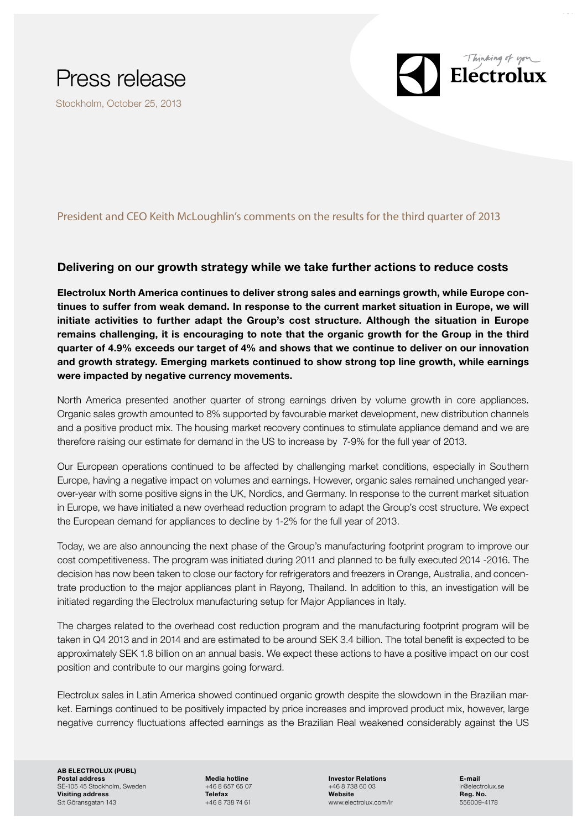

Stockholm, October 25, 2013

## President and CEO Keith McLoughlin's comments on the results for the third quarter of 2013

## Delivering on our growth strategy while we take further actions to reduce costs

Electrolux North America continues to deliver strong sales and earnings growth, while Europe continues to suffer from weak demand. In response to the current market situation in Europe, we will initiate activities to further adapt the Group's cost structure. Although the situation in Europe remains challenging, it is encouraging to note that the organic growth for the Group in the third quarter of 4.9% exceeds our target of 4% and shows that we continue to deliver on our innovation and growth strategy. Emerging markets continued to show strong top line growth, while earnings were impacted by negative currency movements.

North America presented another quarter of strong earnings driven by volume growth in core appliances. Organic sales growth amounted to 8% supported by favourable market development, new distribution channels and a positive product mix. The housing market recovery continues to stimulate appliance demand and we are therefore raising our estimate for demand in the US to increase by 7-9% for the full year of 2013.

Our European operations continued to be affected by challenging market conditions, especially in Southern Europe, having a negative impact on volumes and earnings. However, organic sales remained unchanged yearover-year with some positive signs in the UK, Nordics, and Germany. In response to the current market situation in Europe, we have initiated a new overhead reduction program to adapt the Group's cost structure. We expect the European demand for appliances to decline by 1-2% for the full year of 2013.

Today, we are also announcing the next phase of the Group's manufacturing footprint program to improve our cost competitiveness. The program was initiated during 2011 and planned to be fully executed 2014 -2016. The decision has now been taken to close our factory for refrigerators and freezers in Orange, Australia, and concentrate production to the major appliances plant in Rayong, Thailand. In addition to this, an investigation will be initiated regarding the Electrolux manufacturing setup for Major Appliances in Italy.

The charges related to the overhead cost reduction program and the manufacturing footprint program will be taken in Q4 2013 and in 2014 and are estimated to be around SEK 3.4 billion. The total benefit is expected to be approximately SEK 1.8 billion on an annual basis. We expect these actions to have a positive impact on our cost position and contribute to our margins going forward.

Electrolux sales in Latin America showed continued organic growth despite the slowdown in the Brazilian market. Earnings continued to be positively impacted by price increases and improved product mix, however, large negative currency fluctuations affected earnings as the Brazilian Real weakened considerably against the US

AB ELECTROLUX (PUBL) Postal address Media hotline Investor Relations E-mail SE-105 45 Stockholm, Sweden +46 8 657 65 07 +46 8 738 60 03 ir@electrolux.set if the electrolux.set if the electrolux.set if the electrolux.set if the electrolux.set if the electrolux.set is a set if the electrolux.set is **Visiting address Reg. No.**<br>
St Göransgatan 143 **Reg. No.**<br>
St Göransgatan 143 **Reg. No.** 2009-4178 **Address Address Address Address Address Address Address Address Address Address Address Address Address Address Address A** S:t Göransgatan 143

 $\mathbf{E}$  Electrolux